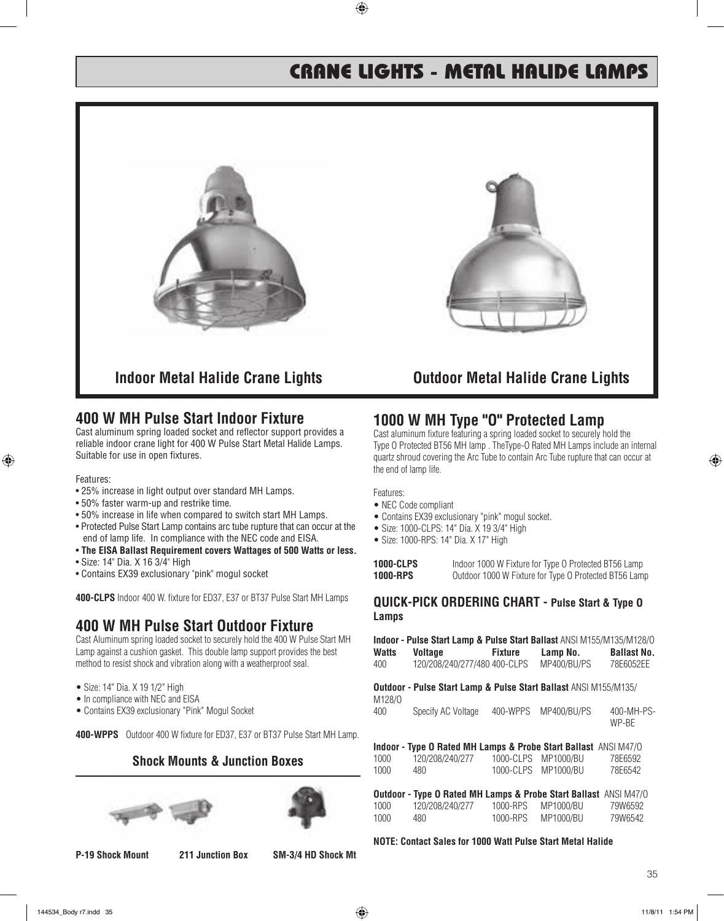# CRANE LIGHTS - METAL HALIDE LAMPS



## **400 W MH Pulse Start Indoor Fixture**

Cast aluminum spring loaded socket and reflector support provides a reliable indoor crane light for 400 W Pulse Start Metal Halide Lamps. Suitable for use in open fixtures.

Features:

- 25% increase in light output over standard MH Lamps.
- 50% faster warm-up and restrike time.
- 50% increase in life when compared to switch start MH Lamps.
- Protected Pulse Start Lamp contains arc tube rupture that can occur at the end of lamp life. In compliance with the NEC code and EISA.
- **The EISA Ballast Requirement covers Wattages of 500 Watts or less.**
- Size: 14" Dia. X 16 3/4" High
- Contains EX39 exclusionary "pink" mogul socket

**400-CLPS** Indoor 400 W. fixture for ED37, E37 or BT37 Pulse Start MH Lamps

## **400 W MH Pulse Start Outdoor Fixture**

Cast Aluminum spring loaded socket to securely hold the 400 W Pulse Start MH Lamp against a cushion gasket. This double lamp support provides the best method to resist shock and vibration along with a weatherproof seal.

- Size: 14" Dia. X 19 1/2" High
- In compliance with NEC and EISA
- Contains EX39 exclusionary "Pink" Mogul Socket

**400-WPPS** Outdoor 400 W fixture for ED37, E37 or BT37 Pulse Start MH Lamp.

## **Shock Mounts & Junction Boxes**





#### **P-19 Shock Mount 211 Junction Box SM-3/4 HD Shock Mt**

## **1000 W MH Type "O" Protected Lamp**

Cast aluminum fixture featuring a spring loaded socket to securely hold the Type O Protected BT56 MH lamp . TheType-O Rated MH Lamps include an internal quartz shroud covering the Arc Tube to contain Arc Tube rupture that can occur at the end of lamp life.

Features:

- NEC Code compliant
- Contains EX39 exclusionary "pink" mogul socket.
- Size: 1000-CLPS: 14" Dia. X 19 3/4" High
- Size: 1000-RPS: 14" Dia. X 17" High

| 1000-CLPS | Indoor 1000 W Fixture for Type O Protected BT56 Lamp  |
|-----------|-------------------------------------------------------|
| 1000-RPS  | Outdoor 1000 W Fixture for Type O Protected BT56 Lamp |

#### **QUICK-PICK ORDERING CHART - Pulse Start & Type O Lamps**

| Indoor - Pulse Start Lamp & Pulse Start Ballast ANSI M155/M135/M128/O |                                                                                                             |                |                 |                    |
|-----------------------------------------------------------------------|-------------------------------------------------------------------------------------------------------------|----------------|-----------------|--------------------|
| Watts                                                                 | <b>Voltage</b>                                                                                              | <b>Fixture</b> | Lamp No.        | <b>Ballast No.</b> |
| 400                                                                   | 120/208/240/277/480 400-CLPS<br><b>Outdoor - Pulse Start Lamp &amp; Pulse Start Ballast ANSI M155/M135/</b> |                | MP400/BU/PS     | 78E6052EE          |
| M128/0<br>$\Lambda$                                                   | $C_{\text{Casaity AC Velters 400 M/DDC$                                                                     |                | MD 400 /DI L/DC | 100 <b>MID</b>     |

| 400 | Specify AC Voltage | 400-WPPS MP400/BU/PS | 400-MH-PS- |
|-----|--------------------|----------------------|------------|
|     |                    |                      | WP-BE      |

|      | Indoor - Type O Rated MH Lamps & Probe Start Ballast ANSI M47/0 |                     |         |
|------|-----------------------------------------------------------------|---------------------|---------|
| 1000 | 120/208/240/277                                                 | 1000-CLPS MP1000/BU | 78E6592 |
| 1000 | 480.                                                            | 1000-CLPS MP1000/BU | 78E6542 |

**Outdoor - Type O Rated MH Lamps & Probe Start Ballast** ANSI M47/O 1000 120/208/240/277 1000-RPS MP1000/BU 79W6592 1000-RPS MP1000/BU

#### **NOTE: Contact Sales for 1000 Watt Pulse Start Metal Halide**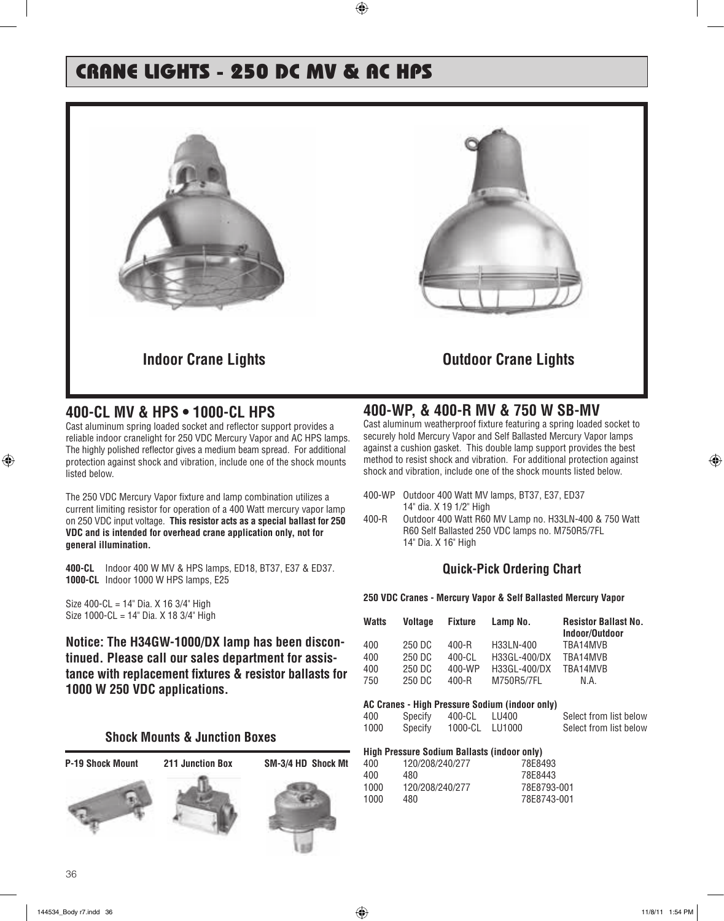# CRANE LIGHTS - 250 DC MV & AC HPS



## **400-CL MV & HPS • 1000-CL HPS**

Cast aluminum spring loaded socket and reflector support provides a reliable indoor cranelight for 250 VDC Mercury Vapor and AC HPS lamps. The highly polished reflector gives a medium beam spread. For additional protection against shock and vibration, include one of the shock mounts listed below.

The 250 VDC Mercury Vapor fixture and lamp combination utilizes a current limiting resistor for operation of a 400 Watt mercury vapor lamp on 250 VDC input voltage. **This resistor acts as a special ballast for 250 VDC and is intended for overhead crane application only, not for general illumination.**

**400-CL** Indoor 400 W MV & HPS lamps, ED18, BT37, E37 & ED37. **1000-CL** Indoor 1000 W HPS lamps, E25

Size 400-CL = 14" Dia. X 16 3/4" High Size 1000-CL = 14" Dia. X 18 3/4" High

**Notice: The H34GW-1000/DX lamp has been discontinued. Please call our sales department for assistance with replacement fixtures & resistor ballasts for 1000 W 250 VDC applications.**

### **Shock Mounts & Junction Boxes**

**P-19 Shock Mount 211 Junction Box SM-3/4 HD Shock Mt**







## **400-WP, & 400-R MV & 750 W SB-MV**

Cast aluminum weatherproof fixture featuring a spring loaded socket to securely hold Mercury Vapor and Self Ballasted Mercury Vapor lamps against a cushion gasket. This double lamp support provides the best method to resist shock and vibration. For additional protection against shock and vibration, include one of the shock mounts listed below.

- 400-WP Outdoor 400 Watt MV lamps, BT37, E37, ED37 14" dia. X 19 1/2" High
- 400-R Outdoor 400 Watt R60 MV Lamp no. H33LN-400 & 750 Watt R60 Self Ballasted 250 VDC lamps no. M750R5/7FL 14" Dia. X 16" High

## **Quick-Pick Ordering Chart**

#### **250 VDC Cranes - Mercury Vapor & Self Ballasted Mercury Vapor**

| <b>Watts</b> | <b>Voltage</b> | <b>Fixture</b> | Lamp No.     | <b>Resistor Ballast No.</b><br>Indoor/Outdoor |
|--------------|----------------|----------------|--------------|-----------------------------------------------|
| 400          | 250 DC         | 400-R          | H33LN-400    | TRA14MVR                                      |
| 400          | 250 DC         | 400-CI         | H33GL-400/DX | TRA14MVB                                      |
| 400          | 250 DC         | 400-WP         | H33GL-400/DX | TRA14MVB                                      |
| 750          | 250 DC         | $400 - R$      | M750R5/7FL   | N.A.                                          |

#### **AC Cranes - High Pressure Sodium (indoor only)**

| 400  | Specify | 400-CL         | LU400 | Select from list below |
|------|---------|----------------|-------|------------------------|
|      |         |                |       |                        |
| 1000 | Specify | 1000-CL LU1000 |       | Select from list below |
|      |         |                |       |                        |

#### **High Pressure Sodium Ballasts (indoor only)**

| 400. | 120/208/240/277 | 78F8493     |
|------|-----------------|-------------|
| 400  | 480             | 78F8443     |
| 1000 | 120/208/240/277 | 78F8793-001 |
| 1000 | 480             | 78F8743-001 |
|      |                 |             |